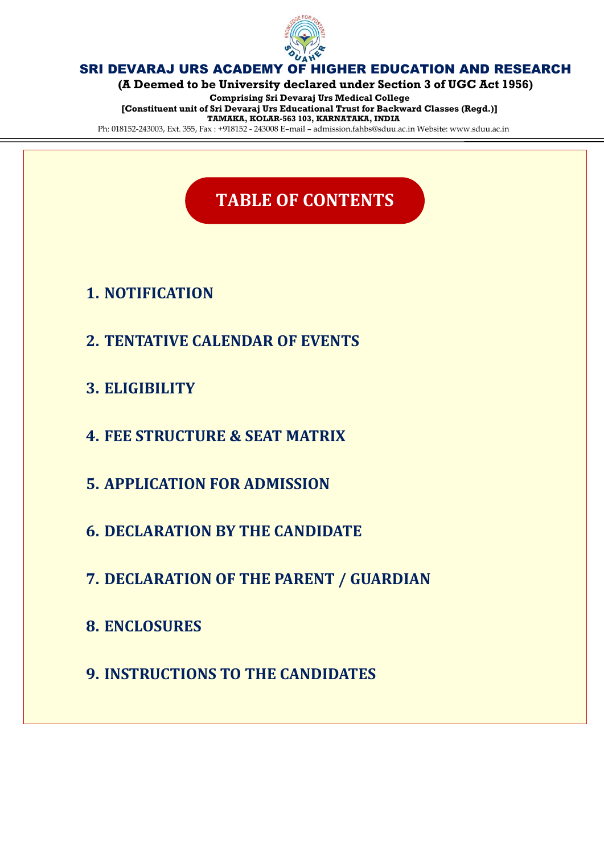

**(A Deemed to be University declared under Section 3 of UGC Act 1956)**

**Comprising Sri Devaraj Urs Medical College [Constituent unit of Sri Devaraj Urs Educational Trust for Backward Classes (Regd.)] TAMAKA, KOLAR-563 103, KARNATAKA, INDIA**

Ph: 018152-243003, Ext. 355, Fax : +918152 - 243008 E–mail – admission.fahbs@sduu.ac.in Website: www.sduu.ac.in

# **TABLE OF CONTENTS**

# **1. NOTIFICATION**

- **2. TENTATIVE CALENDAR OF EVENTS**
- **3. ELIGIBILITY**
- **4. FEE STRUCTURE & SEAT MATRIX**
- **5. APPLICATION FOR ADMISSION**
- **6. DECLARATION BY THE CANDIDATE**
- **7. DECLARATION OF THE PARENT / GUARDIAN**
- **8. ENCLOSURES**
- **9. INSTRUCTIONS TO THE CANDIDATES**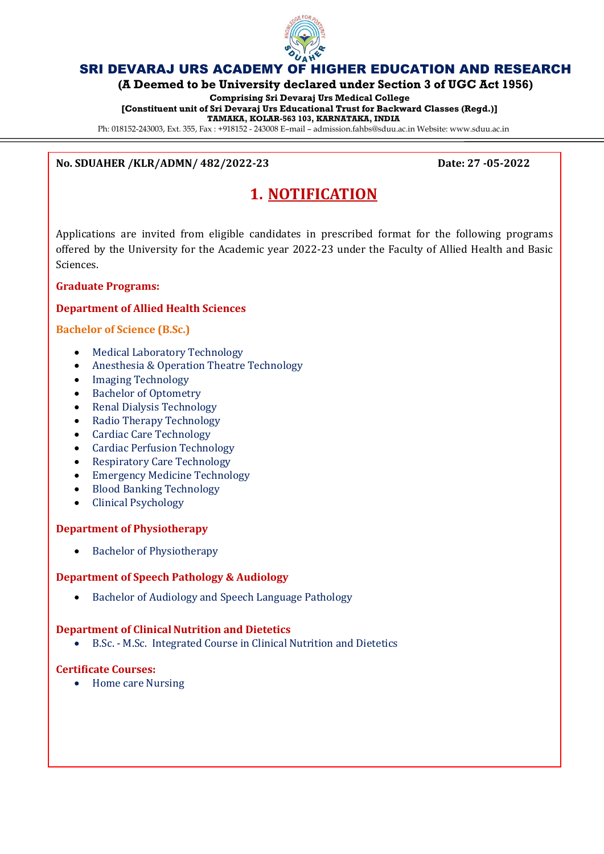

**(A Deemed to be University declared under Section 3 of UGC Act 1956)**

**Comprising Sri Devaraj Urs Medical College [Constituent unit of Sri Devaraj Urs Educational Trust for Backward Classes (Regd.)] TAMAKA, KOLAR-563 103, KARNATAKA, INDIA**

Ph: 018152-243003, Ext. 355, Fax : +918152 - 243008 E–mail – admission.fahbs@sduu.ac.in Website: www.sduu.ac.in

### **No. SDUAHER /KLR/ADMN/ 482/2022-23 Date: 27 -05-2022**

# **1. NOTIFICATION**

Applications are invited from eligible candidates in prescribed format for the following programs offered by the University for the Academic year 2022-23 under the Faculty of Allied Health and Basic Sciences.

### **Graduate Programs:**

### **Department of Allied Health Sciences**

### **Bachelor of Science (B.Sc.)**

- Medical Laboratory Technology
- Anesthesia & Operation Theatre Technology
- Imaging Technology
- Bachelor of Optometry
- Renal Dialysis Technology
- Radio Therapy Technology
- Cardiac Care Technology
- Cardiac Perfusion Technology
- Respiratory Care Technology
- Emergency Medicine Technology
- Blood Banking Technology
- Clinical Psychology

### **Department of Physiotherapy**

• Bachelor of Physiotherapy

### **Department of Speech Pathology & Audiology**

Bachelor of Audiology and Speech Language Pathology

### **Department of Clinical Nutrition and Dietetics**

B.Sc. - M.Sc. Integrated Course in Clinical Nutrition and Dietetics

### **Certificate Courses:**

• Home care Nursing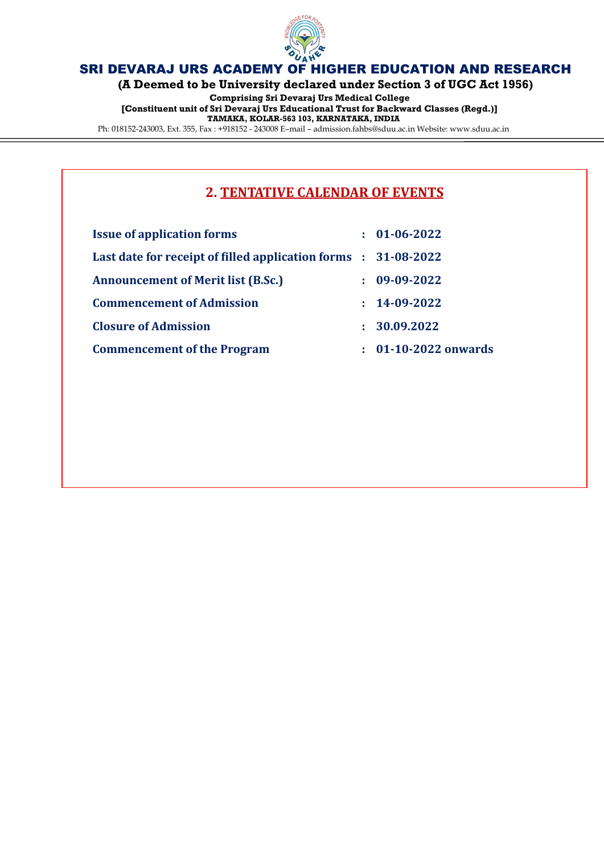

**(A Deemed to be University declared under Section 3 of UGC Act 1956)**

**Comprising Sri Devaraj Urs Medical College [Constituent unit of Sri Devaraj Urs Educational Trust for Backward Classes (Regd.)] TAMAKA, KOLAR-563 103, KARNATAKA, INDIA** Ph: 018152-243003, Ext. 355, Fax : +918152 - 243008 E–mail – admission.fahbs@sduu.ac.in Website: www.sduu.ac.in

## **2. TENTATIVE CALENDAR OF EVENTS**

|    | $01 - 06 - 2022$                                               |
|----|----------------------------------------------------------------|
|    | Last date for receipt of filled application forms : 31-08-2022 |
|    | 09-09-2022                                                     |
|    | $: 14 - 09 - 2022$                                             |
| ÷. | 30.09.2022                                                     |
| t. | 01-10-2022 onwards                                             |
|    |                                                                |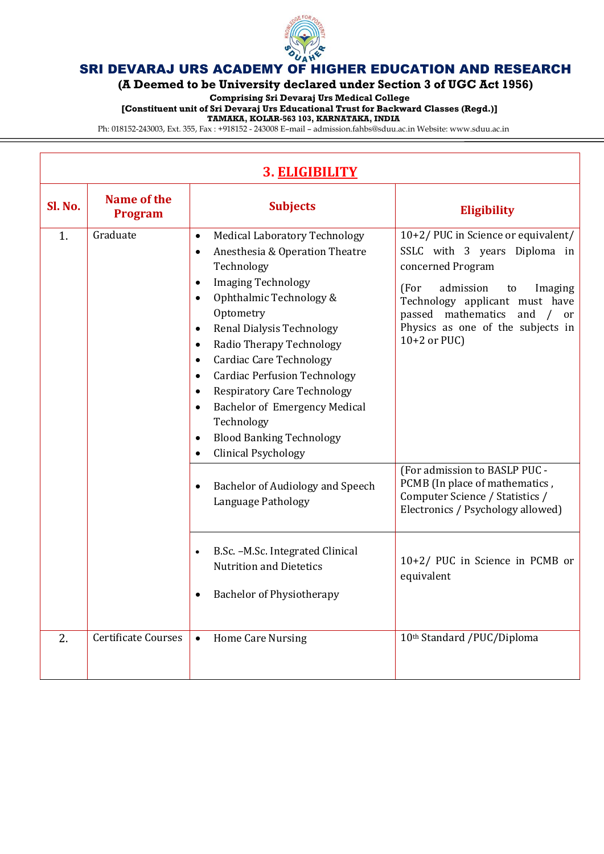

**(A Deemed to be University declared under Section 3 of UGC Act 1956)**

**Comprising Sri Devaraj Urs Medical College**

**[Constituent unit of Sri Devaraj Urs Educational Trust for Backward Classes (Regd.)]**

**TAMAKA, KOLAR-563 103, KARNATAKA, INDIA**

Ph: 018152-243003, Ext. 355, Fax : +918152 - 243008 E–mail – admission.fahbs@sduu.ac.in Website: www.sduu.ac.in

| 3. ELIGIBILITY |                               |                                                                                                                                                                                                                                                                                                                                                                                                                                                                                                                                                                                                                      |                                                                                                                                                                                                                                                                         |
|----------------|-------------------------------|----------------------------------------------------------------------------------------------------------------------------------------------------------------------------------------------------------------------------------------------------------------------------------------------------------------------------------------------------------------------------------------------------------------------------------------------------------------------------------------------------------------------------------------------------------------------------------------------------------------------|-------------------------------------------------------------------------------------------------------------------------------------------------------------------------------------------------------------------------------------------------------------------------|
| Sl. No.        | Name of the<br><b>Program</b> | <b>Subjects</b>                                                                                                                                                                                                                                                                                                                                                                                                                                                                                                                                                                                                      | Eligibility                                                                                                                                                                                                                                                             |
| 1.             | Graduate                      | <b>Medical Laboratory Technology</b><br>$\bullet$<br>Anesthesia & Operation Theatre<br>$\bullet$<br>Technology<br><b>Imaging Technology</b><br>$\bullet$<br>Ophthalmic Technology &<br>$\bullet$<br>Optometry<br><b>Renal Dialysis Technology</b><br>$\bullet$<br>Radio Therapy Technology<br>$\bullet$<br><b>Cardiac Care Technology</b><br>$\bullet$<br><b>Cardiac Perfusion Technology</b><br>$\bullet$<br><b>Respiratory Care Technology</b><br>$\bullet$<br>Bachelor of Emergency Medical<br>$\bullet$<br>Technology<br><b>Blood Banking Technology</b><br>$\bullet$<br><b>Clinical Psychology</b><br>$\bullet$ | 10+2/PUC in Science or equivalent/<br>SSLC with 3 years Diploma in<br>concerned Program<br>admission<br>(For<br>to<br>Imaging<br>Technology applicant must have<br>passed mathematics<br>and<br>$\sqrt{2}$<br>or<br>Physics as one of the subjects in<br>$10+2$ or PUC) |
|                |                               | Bachelor of Audiology and Speech<br>$\bullet$<br>Language Pathology                                                                                                                                                                                                                                                                                                                                                                                                                                                                                                                                                  | (For admission to BASLP PUC -<br>PCMB (In place of mathematics,<br>Computer Science / Statistics /<br>Electronics / Psychology allowed)                                                                                                                                 |
|                |                               | B.Sc. - M.Sc. Integrated Clinical<br>$\bullet$<br><b>Nutrition and Dietetics</b><br><b>Bachelor of Physiotherapy</b>                                                                                                                                                                                                                                                                                                                                                                                                                                                                                                 | 10+2/ PUC in Science in PCMB or<br>equivalent                                                                                                                                                                                                                           |
| 2.             | <b>Certificate Courses</b>    | <b>Home Care Nursing</b><br>$\bullet$                                                                                                                                                                                                                                                                                                                                                                                                                                                                                                                                                                                | 10th Standard /PUC/Diploma                                                                                                                                                                                                                                              |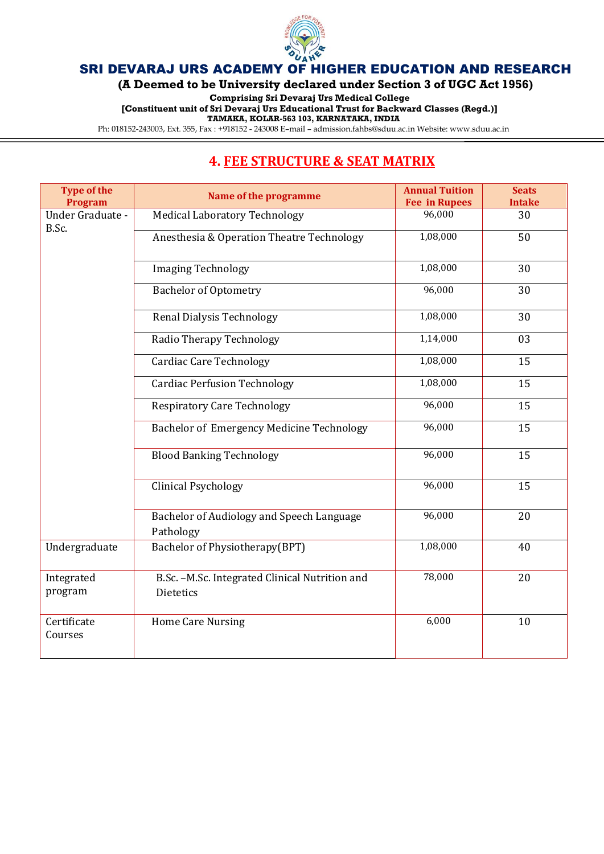

**(A Deemed to be University declared under Section 3 of UGC Act 1956)**

**Comprising Sri Devaraj Urs Medical College**

**[Constituent unit of Sri Devaraj Urs Educational Trust for Backward Classes (Regd.)]**

**TAMAKA, KOLAR-563 103, KARNATAKA, INDIA**

Ph: 018152-243003, Ext. 355, Fax : +918152 - 243008 E–mail – admission.fahbs@sduu.ac.in Website: www.sduu.ac.in

# **4. FEE STRUCTURE & SEAT MATRIX**

| <b>Type of the</b><br><b>Program</b> | Name of the programme                                              | <b>Annual Tuition</b><br><b>Fee in Rupees</b> | <b>Seats</b><br><b>Intake</b> |
|--------------------------------------|--------------------------------------------------------------------|-----------------------------------------------|-------------------------------|
| Under Graduate -<br>B.Sc.            | <b>Medical Laboratory Technology</b>                               | 96,000                                        | 30                            |
|                                      | Anesthesia & Operation Theatre Technology                          | 1,08,000                                      | 50                            |
|                                      | <b>Imaging Technology</b>                                          | 1,08,000                                      | 30                            |
|                                      | <b>Bachelor of Optometry</b>                                       | 96,000                                        | 30                            |
|                                      | <b>Renal Dialysis Technology</b>                                   | 1,08,000                                      | 30                            |
|                                      | Radio Therapy Technology                                           | 1,14,000                                      | 03                            |
|                                      | <b>Cardiac Care Technology</b>                                     | 1,08,000                                      | 15                            |
|                                      | <b>Cardiac Perfusion Technology</b>                                | 1,08,000                                      | 15                            |
|                                      | <b>Respiratory Care Technology</b>                                 | 96,000                                        | 15                            |
|                                      | <b>Bachelor of Emergency Medicine Technology</b>                   | 96,000                                        | 15                            |
|                                      | <b>Blood Banking Technology</b>                                    | 96,000                                        | 15                            |
|                                      | <b>Clinical Psychology</b>                                         | 96,000                                        | 15                            |
|                                      | Bachelor of Audiology and Speech Language<br>Pathology             | 96,000                                        | 20                            |
| Undergraduate                        | Bachelor of Physiotherapy(BPT)                                     | 1,08,000                                      | 40                            |
| Integrated<br>program                | B.Sc. -M.Sc. Integrated Clinical Nutrition and<br><b>Dietetics</b> | 78,000                                        | 20                            |
| Certificate<br>Courses               | <b>Home Care Nursing</b>                                           | 6,000                                         | 10                            |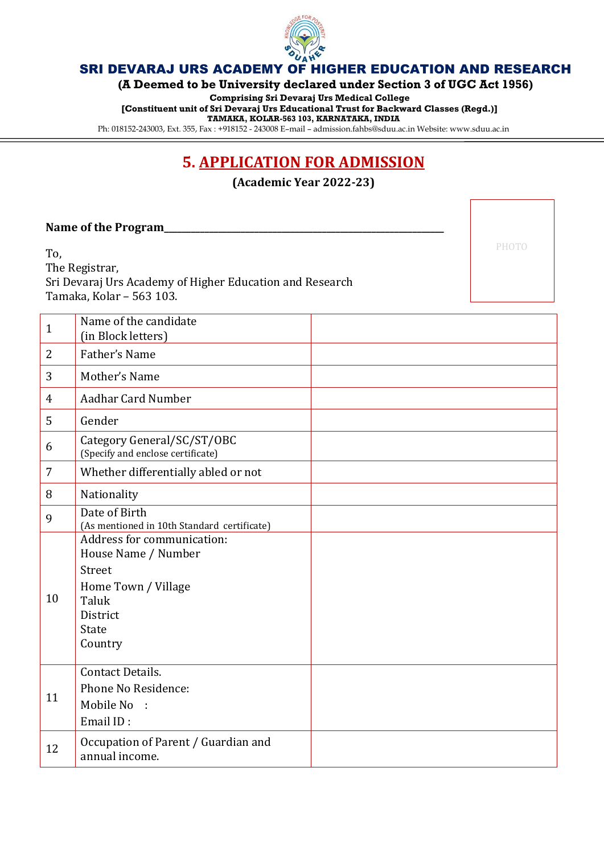

**(A Deemed to be University declared under Section 3 of UGC Act 1956)**

**Comprising Sri Devaraj Urs Medical College**

**[Constituent unit of Sri Devaraj Urs Educational Trust for Backward Classes (Regd.)]**

**TAMAKA, KOLAR-563 103, KARNATAKA, INDIA**

Ph: 018152-243003, Ext. 355, Fax : +918152 - 243008 E–mail – admission.fahbs@sduu.ac.in Website: www.sduu.ac.in

# **5. APPLICATION FOR ADMISSION**

**(Academic Year 2022-23)**

### Name of the Program

To,

The Registrar, Sri Devaraj Urs Academy of Higher Education and Research Tamaka, Kolar – 563 103.

PHOTO

| $\mathbf{1}$   | Name of the candidate<br>(in Block letters)                                                                                 |
|----------------|-----------------------------------------------------------------------------------------------------------------------------|
| $\overline{2}$ | Father's Name                                                                                                               |
| 3              | Mother's Name                                                                                                               |
| 4              | Aadhar Card Number                                                                                                          |
| 5              | Gender                                                                                                                      |
| 6              | Category General/SC/ST/OBC<br>(Specify and enclose certificate)                                                             |
| 7              | Whether differentially abled or not                                                                                         |
| 8              | Nationality                                                                                                                 |
| 9              | Date of Birth<br>(As mentioned in 10th Standard certificate)                                                                |
| 10             | Address for communication:<br>House Name / Number<br>Street<br>Home Town / Village<br>Taluk<br>District<br>State<br>Country |
| 11             | <b>Contact Details.</b><br>Phone No Residence:<br>Mobile No :<br>Email ID:                                                  |
| 12             | Occupation of Parent / Guardian and<br>annual income.                                                                       |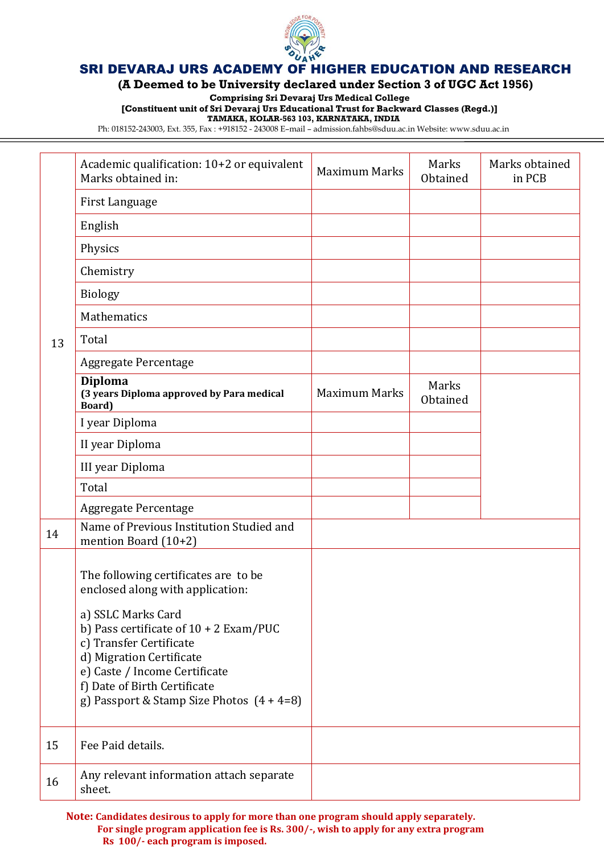

**(A Deemed to be University declared under Section 3 of UGC Act 1956)**

**Comprising Sri Devaraj Urs Medical College**

**[Constituent unit of Sri Devaraj Urs Educational Trust for Backward Classes (Regd.)]**

**TAMAKA, KOLAR-563 103, KARNATAKA, INDIA**

Ph: 018152-243003, Ext. 355, Fax : +918152 - 243008 E–mail – admission.fahbs@sduu.ac.in Website: www.sduu.ac.in

|    | Academic qualification: 10+2 or equivalent<br>Marks obtained in:                                                                                                                                                                      | <b>Maximum Marks</b> | Marks<br>Obtained | Marks obtained<br>in PCB |
|----|---------------------------------------------------------------------------------------------------------------------------------------------------------------------------------------------------------------------------------------|----------------------|-------------------|--------------------------|
|    | First Language                                                                                                                                                                                                                        |                      |                   |                          |
|    | English                                                                                                                                                                                                                               |                      |                   |                          |
|    | Physics                                                                                                                                                                                                                               |                      |                   |                          |
|    | Chemistry                                                                                                                                                                                                                             |                      |                   |                          |
|    | <b>Biology</b>                                                                                                                                                                                                                        |                      |                   |                          |
|    | Mathematics                                                                                                                                                                                                                           |                      |                   |                          |
| 13 | Total                                                                                                                                                                                                                                 |                      |                   |                          |
|    | Aggregate Percentage                                                                                                                                                                                                                  |                      |                   |                          |
|    | <b>Diploma</b><br>(3 years Diploma approved by Para medical<br>Board)                                                                                                                                                                 | <b>Maximum Marks</b> | Marks<br>Obtained |                          |
|    | I year Diploma                                                                                                                                                                                                                        |                      |                   |                          |
|    | II year Diploma                                                                                                                                                                                                                       |                      |                   |                          |
|    | III year Diploma                                                                                                                                                                                                                      |                      |                   |                          |
|    | Total                                                                                                                                                                                                                                 |                      |                   |                          |
|    | Aggregate Percentage                                                                                                                                                                                                                  |                      |                   |                          |
| 14 | Name of Previous Institution Studied and<br>mention Board (10+2)                                                                                                                                                                      |                      |                   |                          |
|    | The following certificates are to be<br>enclosed along with application:                                                                                                                                                              |                      |                   |                          |
|    | a) SSLC Marks Card<br>b) Pass certificate of $10 + 2$ Exam/PUC<br>c) Transfer Certificate<br>d) Migration Certificate<br>e) Caste / Income Certificate<br>f) Date of Birth Certificate<br>g) Passport & Stamp Size Photos $(4 + 4=8)$ |                      |                   |                          |
| 15 | Fee Paid details.                                                                                                                                                                                                                     |                      |                   |                          |
| 16 | Any relevant information attach separate<br>sheet.                                                                                                                                                                                    |                      |                   |                          |

**Note: Candidates desirous to apply for more than one program should apply separately. For single program application fee is Rs. 300/-, wish to apply for any extra program Rs 100/- each program is imposed.**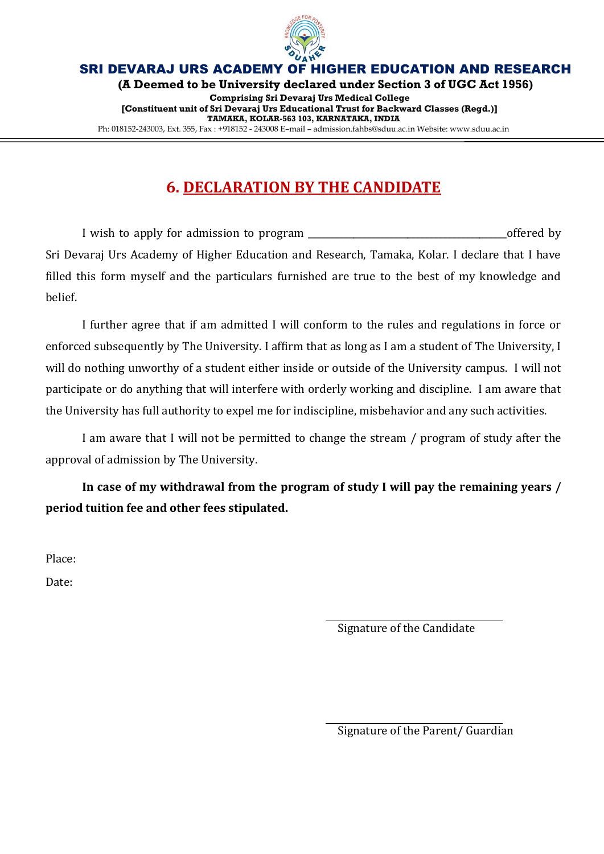

**(A Deemed to be University declared under Section 3 of UGC Act 1956)**

**Comprising Sri Devaraj Urs Medical College [Constituent unit of Sri Devaraj Urs Educational Trust for Backward Classes (Regd.)] TAMAKA, KOLAR-563 103, KARNATAKA, INDIA** Ph: 018152-243003, Ext. 355, Fax : +918152 - 243008 E–mail – admission.fahbs@sduu.ac.in Website: www.sduu.ac.in

# **6. DECLARATION BY THE CANDIDATE**

I wish to apply for admission to program  $\blacksquare$ Sri Devaraj Urs Academy of Higher Education and Research, Tamaka, Kolar. I declare that I have filled this form myself and the particulars furnished are true to the best of my knowledge and belief.

I further agree that if am admitted I will conform to the rules and regulations in force or enforced subsequently by The University. I affirm that as long as I am a student of The University, I will do nothing unworthy of a student either inside or outside of the University campus. I will not participate or do anything that will interfere with orderly working and discipline. I am aware that the University has full authority to expel me for indiscipline, misbehavior and any such activities.

I am aware that I will not be permitted to change the stream / program of study after the approval of admission by The University.

**In case of my withdrawal from the program of study I will pay the remaining years / period tuition fee and other fees stipulated.**

Place:

Date:

Signature of the Candidate

Signature of the Parent/ Guardian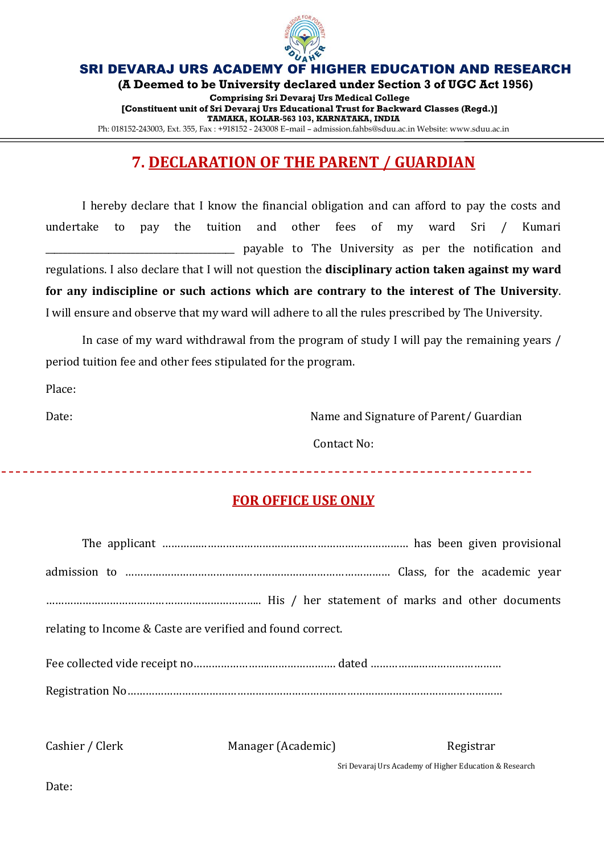

**(A Deemed to be University declared under Section 3 of UGC Act 1956)**

**Comprising Sri Devaraj Urs Medical College [Constituent unit of Sri Devaraj Urs Educational Trust for Backward Classes (Regd.)] TAMAKA, KOLAR-563 103, KARNATAKA, INDIA** Ph: 018152-243003, Ext. 355, Fax : +918152 - 243008 E–mail – admission.fahbs@sduu.ac.in Website: www.sduu.ac.in

# **7. DECLARATION OF THE PARENT / GUARDIAN**

I hereby declare that I know the financial obligation and can afford to pay the costs and undertake to pay the tuition and other fees of my ward Sri / Kumari payable to The University as per the notification and regulations. I also declare that I will not question the **disciplinary action taken against my ward for any indiscipline or such actions which are contrary to the interest of The University**. I will ensure and observe that my ward will adhere to all the rules prescribed by The University.

In case of my ward withdrawal from the program of study I will pay the remaining years / period tuition fee and other fees stipulated for the program.

Place:

Date: Date: Name and Signature of Parent/ Guardian

Contact No:

## **FOR OFFICE USE ONLY**

| relating to Income & Caste are verified and found correct. |                    |           |  |
|------------------------------------------------------------|--------------------|-----------|--|
|                                                            |                    |           |  |
|                                                            |                    |           |  |
|                                                            |                    |           |  |
| Cashier / Clerk                                            | Manager (Academic) | Registrar |  |

Sri Devaraj Urs Academy of Higher Education & Research

Date: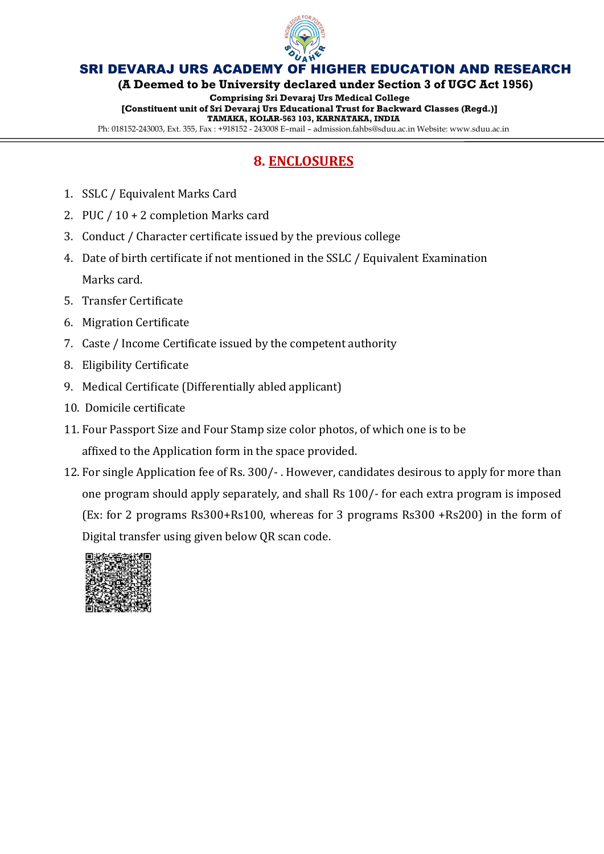

**(A Deemed to be University declared under Section 3 of UGC Act 1956)**

**Comprising Sri Devaraj Urs Medical College [Constituent unit of Sri Devaraj Urs Educational Trust for Backward Classes (Regd.)] TAMAKA, KOLAR-563 103, KARNATAKA, INDIA**

Ph: 018152-243003, Ext. 355, Fax : +918152 - 243008 E–mail – admission.fahbs@sduu.ac.in Website: www.sduu.ac.in

# **8. ENCLOSURES**

- 1. SSLC / Equivalent Marks Card
- 2. PUC / 10 + 2 completion Marks card
- 3. Conduct / Character certificate issued by the previous college
- 4. Date of birth certificate if not mentioned in the SSLC / Equivalent Examination Marks card.
- 5. Transfer Certificate
- 6. Migration Certificate
- 7. Caste / Income Certificate issued by the competent authority
- 8. Eligibility Certificate
- 9. Medical Certificate (Differentially abled applicant)
- 10. Domicile certificate
- 11. Four Passport Size and Four Stamp size color photos, of which one is to be affixed to the Application form in the space provided.
- 12. For single Application fee of Rs. 300/- . However, candidates desirous to apply for more than one program should apply separately, and shall Rs 100/- for each extra program is imposed (Ex: for 2 programs Rs300+Rs100, whereas for 3 programs Rs300 +Rs200) in the form of Digital transfer using given below QR scan code.